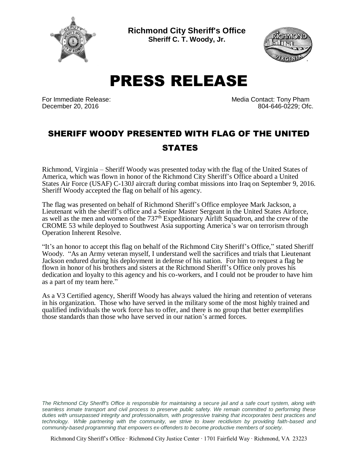

**Richmond City Sheriff's Office Sheriff C. T. Woody, Jr.**



PRESS RELEASE

For Immediate Release: The Contact: Tony Pham December 20, 2016 804-646-0229; Ofc.

## SHERIFF WOODY PRESENTED WITH FLAG OF THE UNITED **STATES**

Richmond, Virginia – Sheriff Woody was presented today with the flag of the United States of America, which was flown in honor of the Richmond City Sheriff's Office aboard a United States Air Force (USAF) C-130J aircraft during combat missions into Iraq on September 9, 2016. Sheriff Woody accepted the flag on behalf of his agency.

The flag was presented on behalf of Richmond Sheriff's Office employee Mark Jackson, a Lieutenant with the sheriff's office and a Senior Master Sergeant in the United States Airforce, as well as the men and women of the 737<sup>th</sup> Expeditionary Airlift Squadron, and the crew of the CROME 53 while deployed to Southwest Asia supporting America's war on terrorism through Operation Inherent Resolve.

"It's an honor to accept this flag on behalf of the Richmond City Sheriff's Office," stated Sheriff Woody. "As an Army veteran myself, I understand well the sacrifices and trials that Lieutenant Jackson endured during his deployment in defense of his nation. For him to request a flag be flown in honor of his brothers and sisters at the Richmond Sheriff's Office only proves his dedication and loyalty to this agency and his co-workers, and I could not be prouder to have him as a part of my team here."

As a V3 Certified agency, Sheriff Woody has always valued the hiring and retention of veterans in his organization. Those who have served in the military some of the most highly trained and qualified individuals the work force has to offer, and there is no group that better exemplifies those standards than those who have served in our nation's armed forces.

*The Richmond City Sheriff's Office is responsible for maintaining a secure jail and a safe court system, along with seamless inmate transport and civil process to preserve public safety. We remain committed to performing these duties with unsurpassed integrity and professionalism, with progressive training that incorporates best practices and technology. While partnering with the community, we strive to lower recidivism by providing faith-based and community-based programming that empowers ex-offenders to become productive members of society.*